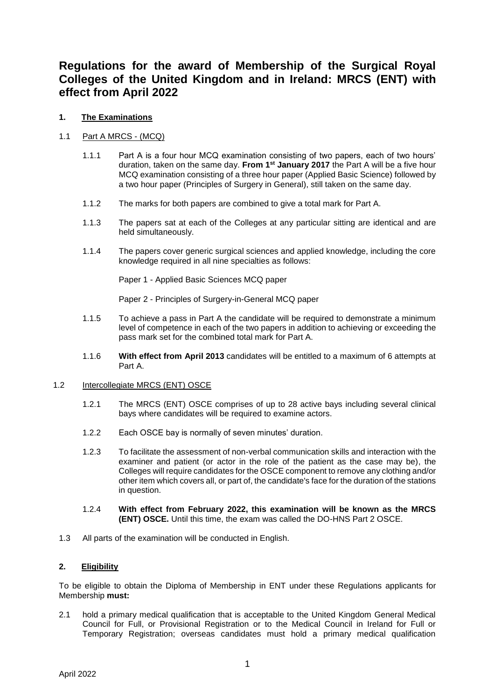# **Regulations for the award of Membership of the Surgical Royal Colleges of the United Kingdom and in Ireland: MRCS (ENT) with effect from April 2022**

# **1. The Examinations**

# 1.1 Part A MRCS - (MCQ)

- 1.1.1 Part A is a four hour MCQ examination consisting of two papers, each of two hours' duration, taken on the same day. **From 1st January 2017** the Part A will be a five hour MCQ examination consisting of a three hour paper (Applied Basic Science) followed by a two hour paper (Principles of Surgery in General), still taken on the same day.
- 1.1.2 The marks for both papers are combined to give a total mark for Part A.
- 1.1.3 The papers sat at each of the Colleges at any particular sitting are identical and are held simultaneously.
- 1.1.4 The papers cover generic surgical sciences and applied knowledge, including the core knowledge required in all nine specialties as follows:

Paper 1 - Applied Basic Sciences MCQ paper

Paper 2 - Principles of Surgery-in-General MCQ paper

- 1.1.5 To achieve a pass in Part A the candidate will be required to demonstrate a minimum level of competence in each of the two papers in addition to achieving or exceeding the pass mark set for the combined total mark for Part A.
- 1.1.6 **With effect from April 2013** candidates will be entitled to a maximum of 6 attempts at Part A.

#### 1.2 Intercollegiate MRCS (ENT) OSCE

- 1.2.1 The MRCS (ENT) OSCE comprises of up to 28 active bays including several clinical bays where candidates will be required to examine actors.
- 1.2.2 Each OSCE bay is normally of seven minutes' duration.
- 1.2.3 To facilitate the assessment of non-verbal communication skills and interaction with the examiner and patient (or actor in the role of the patient as the case may be), the Colleges will require candidates for the OSCE component to remove any clothing and/or other item which covers all, or part of, the candidate's face for the duration of the stations in question.
- 1.2.4 **With effect from February 2022, this examination will be known as the MRCS (ENT) OSCE.** Until this time, the exam was called the DO-HNS Part 2 OSCE.
- 1.3 All parts of the examination will be conducted in English.

#### **2. Eligibility**

To be eligible to obtain the Diploma of Membership in ENT under these Regulations applicants for Membership **must:**

2.1 hold a primary medical qualification that is acceptable to the United Kingdom General Medical Council for Full, or Provisional Registration or to the Medical Council in Ireland for Full or Temporary Registration; overseas candidates must hold a primary medical qualification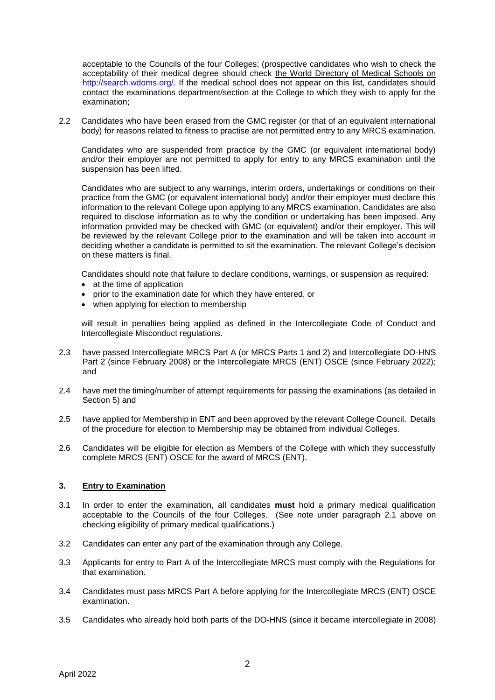acceptable to the Councils of the four Colleges; (prospective candidates who wish to check the acceptability of their medical degree should check the World Directory of Medical Schools on [http://search.wdoms.org/.](http://search.wdoms.org/) If the medical school does not appear on this list, candidates should contact the examinations department/section at the College to which they wish to apply for the examination;

2.2 Candidates who have been erased from the GMC register (or that of an equivalent international body) for reasons related to fitness to practise are not permitted entry to any MRCS examination.

Candidates who are suspended from practice by the GMC (or equivalent international body) and/or their employer are not permitted to apply for entry to any MRCS examination until the suspension has been lifted.

Candidates who are subject to any warnings, interim orders, undertakings or conditions on their practice from the GMC (or equivalent international body) and/or their employer must declare this information to the relevant College upon applying to any MRCS examination. Candidates are also required to disclose information as to why the condition or undertaking has been imposed. Any information provided may be checked with GMC (or equivalent) and/or their employer. This will be reviewed by the relevant College prior to the examination and will be taken into account in deciding whether a candidate is permitted to sit the examination. The relevant College's decision on these matters is final.

Candidates should note that failure to declare conditions, warnings, or suspension as required:

- at the time of application
- prior to the examination date for which they have entered, or
- when applying for election to membership

will result in penalties being applied as defined in the Intercollegiate Code of Conduct and Intercollegiate Misconduct regulations.

- 2.3 have passed Intercollegiate MRCS Part A (or MRCS Parts 1 and 2) and Intercollegiate DO-HNS Part 2 (since February 2008) or the Intercollegiate MRCS (ENT) OSCE (since February 2022); and
- 2.4 have met the timing/number of attempt requirements for passing the examinations (as detailed in Section 5) and
- 2.5 have applied for Membership in ENT and been approved by the relevant College Council. Details of the procedure for election to Membership may be obtained from individual Colleges.
- 2.6 Candidates will be eligible for election as Members of the College with which they successfully complete MRCS (ENT) OSCE for the award of MRCS (ENT).

#### **3. Entry to Examination**

- 3.1 In order to enter the examination, all candidates **must** hold a primary medical qualification acceptable to the Councils of the four Colleges. (See note under paragraph 2.1 above on checking eligibility of primary medical qualifications.)
- 3.2 Candidates can enter any part of the examination through any College.
- 3.3 Applicants for entry to Part A of the Intercollegiate MRCS must comply with the Regulations for that examination.
- 3.4 Candidates must pass MRCS Part A before applying for the Intercollegiate MRCS (ENT) OSCE examination.
- 3.5 Candidates who already hold both parts of the DO-HNS (since it became intercollegiate in 2008)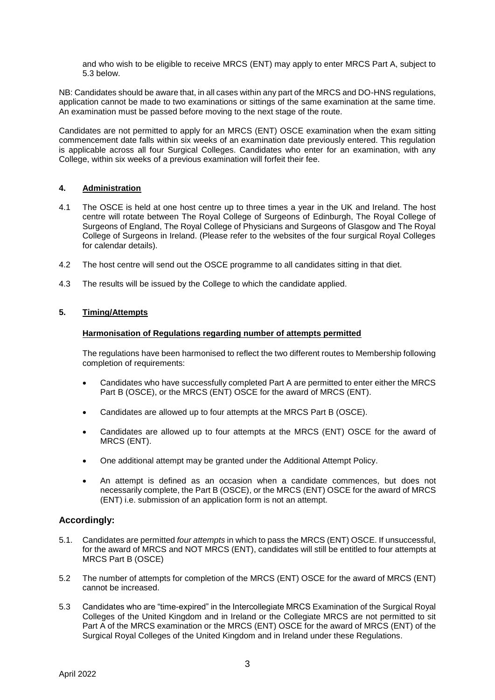and who wish to be eligible to receive MRCS (ENT) may apply to enter MRCS Part A, subject to 5.3 below.

NB: Candidates should be aware that, in all cases within any part of the MRCS and DO-HNS regulations, application cannot be made to two examinations or sittings of the same examination at the same time. An examination must be passed before moving to the next stage of the route.

Candidates are not permitted to apply for an MRCS (ENT) OSCE examination when the exam sitting commencement date falls within six weeks of an examination date previously entered. This regulation is applicable across all four Surgical Colleges. Candidates who enter for an examination, with any College, within six weeks of a previous examination will forfeit their fee.

#### **4. Administration**

- 4.1 The OSCE is held at one host centre up to three times a year in the UK and Ireland. The host centre will rotate between The Royal College of Surgeons of Edinburgh, The Royal College of Surgeons of England, The Royal College of Physicians and Surgeons of Glasgow and The Royal College of Surgeons in Ireland. (Please refer to the websites of the four surgical Royal Colleges for calendar details).
- 4.2 The host centre will send out the OSCE programme to all candidates sitting in that diet.
- 4.3 The results will be issued by the College to which the candidate applied.

# **5. Timing/Attempts**

#### **Harmonisation of Regulations regarding number of attempts permitted**

The regulations have been harmonised to reflect the two different routes to Membership following completion of requirements:

- Candidates who have successfully completed Part A are permitted to enter either the MRCS Part B (OSCE), or the MRCS (ENT) OSCE for the award of MRCS (ENT).
- Candidates are allowed up to four attempts at the MRCS Part B (OSCE).
- Candidates are allowed up to four attempts at the MRCS (ENT) OSCE for the award of MRCS (ENT).
- One additional attempt may be granted under the Additional Attempt Policy.
- An attempt is defined as an occasion when a candidate commences, but does not necessarily complete, the Part B (OSCE), or the MRCS (ENT) OSCE for the award of MRCS (ENT) i.e. submission of an application form is not an attempt.

# **Accordingly:**

- 5.1. Candidates are permitted *four attempts* in which to pass the MRCS (ENT) OSCE. If unsuccessful, for the award of MRCS and NOT MRCS (ENT), candidates will still be entitled to four attempts at MRCS Part B (OSCE)
- 5.2 The number of attempts for completion of the MRCS (ENT) OSCE for the award of MRCS (ENT) cannot be increased.
- 5.3 Candidates who are "time-expired" in the Intercollegiate MRCS Examination of the Surgical Royal Colleges of the United Kingdom and in Ireland or the Collegiate MRCS are not permitted to sit Part A of the MRCS examination or the MRCS (ENT) OSCE for the award of MRCS (ENT) of the Surgical Royal Colleges of the United Kingdom and in Ireland under these Regulations.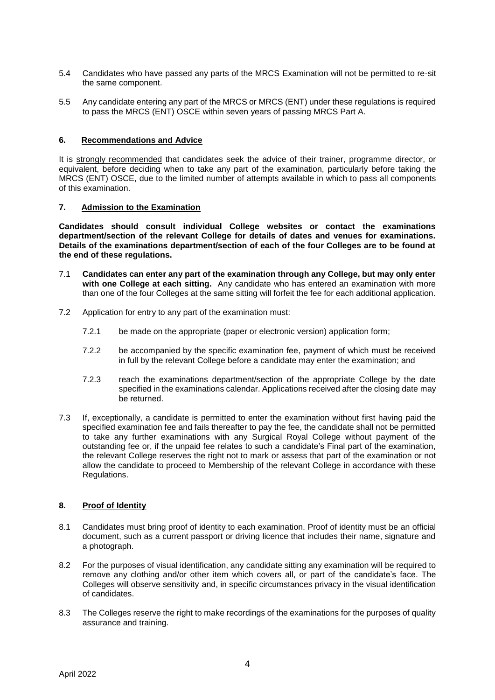- 5.4 Candidates who have passed any parts of the MRCS Examination will not be permitted to re-sit the same component.
- 5.5 Any candidate entering any part of the MRCS or MRCS (ENT) under these regulations is required to pass the MRCS (ENT) OSCE within seven years of passing MRCS Part A.

#### **6. Recommendations and Advice**

It is strongly recommended that candidates seek the advice of their trainer, programme director, or equivalent, before deciding when to take any part of the examination, particularly before taking the MRCS (ENT) OSCE, due to the limited number of attempts available in which to pass all components of this examination.

#### **7. Admission to the Examination**

**Candidates should consult individual College websites or contact the examinations department/section of the relevant College for details of dates and venues for examinations. Details of the examinations department/section of each of the four Colleges are to be found at the end of these regulations.**

- 7.1 **Candidates can enter any part of the examination through any College, but may only enter with one College at each sitting.** Any candidate who has entered an examination with more than one of the four Colleges at the same sitting will forfeit the fee for each additional application.
- 7.2 Application for entry to any part of the examination must:
	- 7.2.1 be made on the appropriate (paper or electronic version) application form;
	- 7.2.2 be accompanied by the specific examination fee, payment of which must be received in full by the relevant College before a candidate may enter the examination; and
	- 7.2.3 reach the examinations department/section of the appropriate College by the date specified in the examinations calendar. Applications received after the closing date may be returned.
- 7.3 If, exceptionally, a candidate is permitted to enter the examination without first having paid the specified examination fee and fails thereafter to pay the fee, the candidate shall not be permitted to take any further examinations with any Surgical Royal College without payment of the outstanding fee or, if the unpaid fee relates to such a candidate's Final part of the examination, the relevant College reserves the right not to mark or assess that part of the examination or not allow the candidate to proceed to Membership of the relevant College in accordance with these Regulations.

#### **8. Proof of Identity**

- 8.1 Candidates must bring proof of identity to each examination. Proof of identity must be an official document, such as a current passport or driving licence that includes their name, signature and a photograph.
- 8.2 For the purposes of visual identification, any candidate sitting any examination will be required to remove any clothing and/or other item which covers all, or part of the candidate's face. The Colleges will observe sensitivity and, in specific circumstances privacy in the visual identification of candidates.
- 8.3 The Colleges reserve the right to make recordings of the examinations for the purposes of quality assurance and training.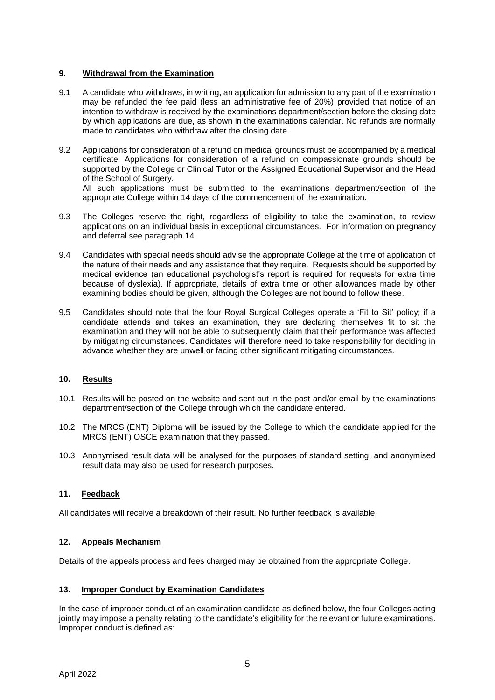#### **9. Withdrawal from the Examination**

- 9.1 A candidate who withdraws, in writing, an application for admission to any part of the examination may be refunded the fee paid (less an administrative fee of 20%) provided that notice of an intention to withdraw is received by the examinations department/section before the closing date by which applications are due, as shown in the examinations calendar. No refunds are normally made to candidates who withdraw after the closing date.
- 9.2 Applications for consideration of a refund on medical grounds must be accompanied by a medical certificate. Applications for consideration of a refund on compassionate grounds should be supported by the College or Clinical Tutor or the Assigned Educational Supervisor and the Head of the School of Surgery. All such applications must be submitted to the examinations department/section of the

appropriate College within 14 days of the commencement of the examination.

- 9.3 The Colleges reserve the right, regardless of eligibility to take the examination, to review applications on an individual basis in exceptional circumstances. For information on pregnancy and deferral see paragraph 14.
- 9.4 Candidates with special needs should advise the appropriate College at the time of application of the nature of their needs and any assistance that they require. Requests should be supported by medical evidence (an educational psychologist's report is required for requests for extra time because of dyslexia). If appropriate, details of extra time or other allowances made by other examining bodies should be given, although the Colleges are not bound to follow these.
- 9.5 Candidates should note that the four Royal Surgical Colleges operate a 'Fit to Sit' policy; if a candidate attends and takes an examination, they are declaring themselves fit to sit the examination and they will not be able to subsequently claim that their performance was affected by mitigating circumstances. Candidates will therefore need to take responsibility for deciding in advance whether they are unwell or facing other significant mitigating circumstances.

# **10. Results**

- 10.1 Results will be posted on the website and sent out in the post and/or email by the examinations department/section of the College through which the candidate entered.
- 10.2 The MRCS (ENT) Diploma will be issued by the College to which the candidate applied for the MRCS (ENT) OSCE examination that they passed.
- 10.3 Anonymised result data will be analysed for the purposes of standard setting, and anonymised result data may also be used for research purposes.

#### **11. Feedback**

All candidates will receive a breakdown of their result. No further feedback is available.

#### **12. Appeals Mechanism**

Details of the appeals process and fees charged may be obtained from the appropriate College.

#### **13. Improper Conduct by Examination Candidates**

In the case of improper conduct of an examination candidate as defined below, the four Colleges acting jointly may impose a penalty relating to the candidate's eligibility for the relevant or future examinations. Improper conduct is defined as: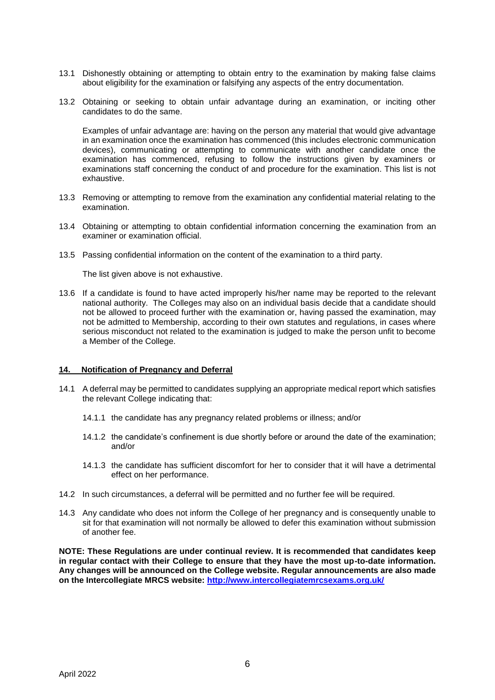- 13.1 Dishonestly obtaining or attempting to obtain entry to the examination by making false claims about eligibility for the examination or falsifying any aspects of the entry documentation.
- 13.2 Obtaining or seeking to obtain unfair advantage during an examination, or inciting other candidates to do the same.

Examples of unfair advantage are: having on the person any material that would give advantage in an examination once the examination has commenced (this includes electronic communication devices), communicating or attempting to communicate with another candidate once the examination has commenced, refusing to follow the instructions given by examiners or examinations staff concerning the conduct of and procedure for the examination. This list is not exhaustive.

- 13.3 Removing or attempting to remove from the examination any confidential material relating to the examination.
- 13.4 Obtaining or attempting to obtain confidential information concerning the examination from an examiner or examination official.
- 13.5 Passing confidential information on the content of the examination to a third party.

The list given above is not exhaustive.

13.6 If a candidate is found to have acted improperly his/her name may be reported to the relevant national authority. The Colleges may also on an individual basis decide that a candidate should not be allowed to proceed further with the examination or, having passed the examination, may not be admitted to Membership, according to their own statutes and regulations, in cases where serious misconduct not related to the examination is judged to make the person unfit to become a Member of the College.

#### **14. Notification of Pregnancy and Deferral**

- 14.1 A deferral may be permitted to candidates supplying an appropriate medical report which satisfies the relevant College indicating that:
	- 14.1.1 the candidate has any pregnancy related problems or illness; and/or
	- 14.1.2 the candidate's confinement is due shortly before or around the date of the examination; and/or
	- 14.1.3 the candidate has sufficient discomfort for her to consider that it will have a detrimental effect on her performance.
- 14.2 In such circumstances, a deferral will be permitted and no further fee will be required.
- 14.3 Any candidate who does not inform the College of her pregnancy and is consequently unable to sit for that examination will not normally be allowed to defer this examination without submission of another fee.

**NOTE: These Regulations are under continual review. It is recommended that candidates keep in regular contact with their College to ensure that they have the most up-to-date information. Any changes will be announced on the College website. Regular announcements are also made on the Intercollegiate MRCS website:<http://www.intercollegiatemrcsexams.org.uk/>**